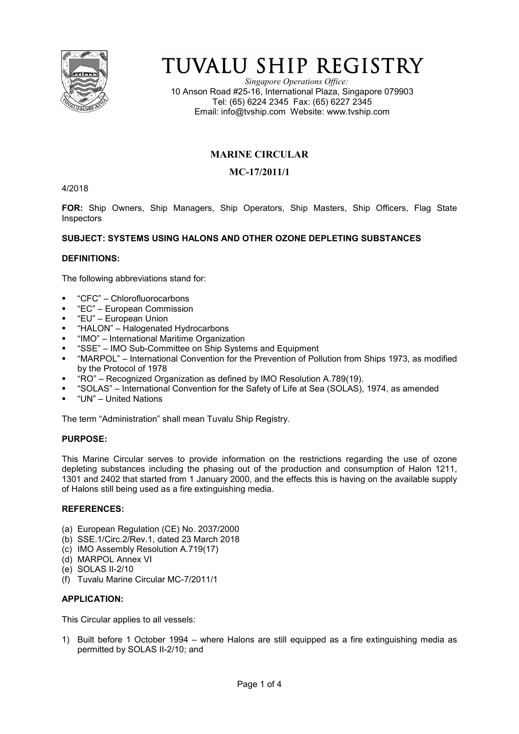

# TUVALU SHIP REGISTRY

*Singapore Operations Office:* 10 Anson Road #25-16, International Plaza, Singapore 079903 Tel: (65) 6224 2345 Fax: (65) 6227 2345 Email: info@tvship.com Website: www.tvship.com

# **MARINE CIRCULAR**

# **MC-17/2011/1**

4/2018

**FOR:** Ship Owners, Ship Managers, Ship Operators, Ship Masters, Ship Officers, Flag State **Inspectors** 

# **SUBJECT: SYSTEMS USING HALONS AND OTHER OZONE DEPLETING SUBSTANCES**

# **DEFINITIONS:**

The following abbreviations stand for:

- "CFC" Chlorofluorocarbons
- "EC" European Commission
- "EU" European Union
- "HALON" Halogenated Hydrocarbons
- "IMO" International Maritime Organization
- "SSE" IMO Sub-Committee on Ship Systems and Equipment
- "MARPOL" International Convention for the Prevention of Pollution from Ships 1973, as modified by the Protocol of 1978
- "RO" Recognized Organization as defined by IMO Resolution A.789(19).
- "SOLAS" International Convention for the Safety of Life at Sea (SOLAS), 1974, as amended
- "UN" United Nations

The term "Administration" shall mean Tuvalu Ship Registry.

# **PURPOSE:**

This Marine Circular serves to provide information on the restrictions regarding the use of ozone depleting substances including the phasing out of the production and consumption of Halon 1211, 1301 and 2402 that started from 1 January 2000, and the effects this is having on the available supply of Halons still being used as a fire extinguishing media.

#### **REFERENCES:**

- (a) European Regulation (CE) No. 2037/2000
- (b) SSE.1/Circ.2/Rev.1, dated 23 March 2018
- (c) IMO Assembly Resolution A.719(17)
- (d) MARPOL Annex VI
- (e) SOLAS II-2/10
- (f) Tuvalu Marine Circular MC-7/2011/1

# **APPLICATION:**

This Circular applies to all vessels:

1) Built before 1 October 1994 – where Halons are still equipped as a fire extinguishing media as permitted by SOLAS II-2/10; and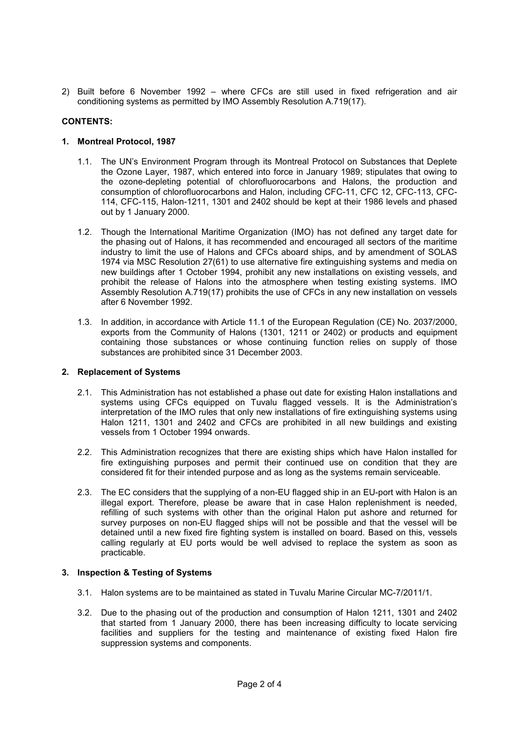2) Built before 6 November 1992 – where CFCs are still used in fixed refrigeration and air conditioning systems as permitted by IMO Assembly Resolution A.719(17).

# **CONTENTS:**

# **1. Montreal Protocol, 1987**

- 1.1. The UN's Environment Program through its Montreal Protocol on Substances that Deplete the Ozone Layer, 1987, which entered into force in January 1989; stipulates that owing to the ozone-depleting potential of chlorofluorocarbons and Halons, the production and consumption of chlorofluorocarbons and Halon, including CFC-11, CFC 12, CFC-113, CFC-114, CFC-115, Halon-1211, 1301 and 2402 should be kept at their 1986 levels and phased out by 1 January 2000.
- 1.2. Though the International Maritime Organization (IMO) has not defined any target date for the phasing out of Halons, it has recommended and encouraged all sectors of the maritime industry to limit the use of Halons and CFCs aboard ships, and by amendment of SOLAS 1974 via MSC Resolution 27(61) to use alternative fire extinguishing systems and media on new buildings after 1 October 1994, prohibit any new installations on existing vessels, and prohibit the release of Halons into the atmosphere when testing existing systems. IMO Assembly Resolution A.719(17) prohibits the use of CFCs in any new installation on vessels after 6 November 1992.
- 1.3. In addition, in accordance with Article 11.1 of the European Regulation (CE) No. 2037/2000, exports from the Community of Halons (1301, 1211 or 2402) or products and equipment containing those substances or whose continuing function relies on supply of those substances are prohibited since 31 December 2003.

# **2. Replacement of Systems**

- 2.1. This Administration has not established a phase out date for existing Halon installations and systems using CFCs equipped on Tuvalu flagged vessels. It is the Administration's interpretation of the IMO rules that only new installations of fire extinguishing systems using Halon 1211, 1301 and 2402 and CFCs are prohibited in all new buildings and existing vessels from 1 October 1994 onwards.
- 2.2. This Administration recognizes that there are existing ships which have Halon installed for fire extinguishing purposes and permit their continued use on condition that they are considered fit for their intended purpose and as long as the systems remain serviceable.
- 2.3. The EC considers that the supplying of a non-EU flagged ship in an EU-port with Halon is an illegal export. Therefore, please be aware that in case Halon replenishment is needed, refilling of such systems with other than the original Halon put ashore and returned for survey purposes on non-EU flagged ships will not be possible and that the vessel will be detained until a new fixed fire fighting system is installed on board. Based on this, vessels calling regularly at EU ports would be well advised to replace the system as soon as practicable.

# **3. Inspection & Testing of Systems**

- 3.1. Halon systems are to be maintained as stated in Tuvalu Marine Circular MC-7/2011/1.
- 3.2. Due to the phasing out of the production and consumption of Halon 1211, 1301 and 2402 that started from 1 January 2000, there has been increasing difficulty to locate servicing facilities and suppliers for the testing and maintenance of existing fixed Halon fire suppression systems and components.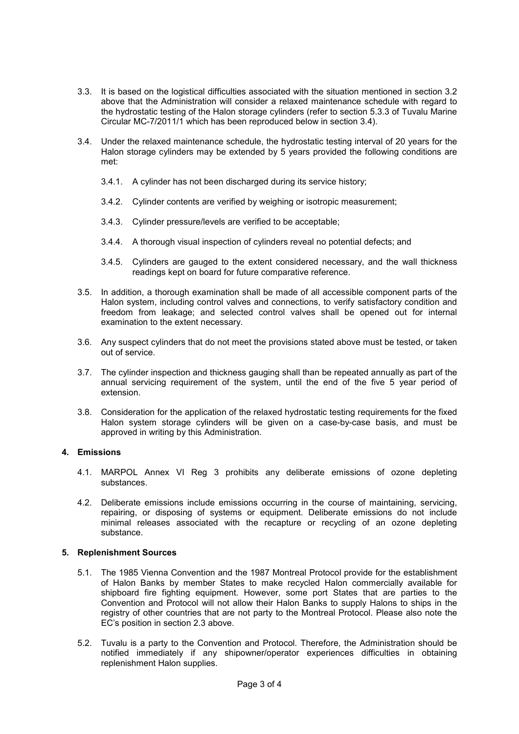- 3.3. It is based on the logistical difficulties associated with the situation mentioned in section 3.2 above that the Administration will consider a relaxed maintenance schedule with regard to the hydrostatic testing of the Halon storage cylinders (refer to section 5.3.3 of Tuvalu Marine Circular MC-7/2011/1 which has been reproduced below in section 3.4).
- 3.4. Under the relaxed maintenance schedule, the hydrostatic testing interval of 20 years for the Halon storage cylinders may be extended by 5 years provided the following conditions are met:
	- 3.4.1. A cylinder has not been discharged during its service history;
	- 3.4.2. Cylinder contents are verified by weighing or isotropic measurement;
	- 3.4.3. Cylinder pressure/levels are verified to be acceptable;
	- 3.4.4. A thorough visual inspection of cylinders reveal no potential defects; and
	- 3.4.5. Cylinders are gauged to the extent considered necessary, and the wall thickness readings kept on board for future comparative reference.
- 3.5. In addition, a thorough examination shall be made of all accessible component parts of the Halon system, including control valves and connections, to verify satisfactory condition and freedom from leakage; and selected control valves shall be opened out for internal examination to the extent necessary.
- 3.6. Any suspect cylinders that do not meet the provisions stated above must be tested, or taken out of service.
- 3.7. The cylinder inspection and thickness gauging shall than be repeated annually as part of the annual servicing requirement of the system, until the end of the five 5 year period of extension.
- 3.8. Consideration for the application of the relaxed hydrostatic testing requirements for the fixed Halon system storage cylinders will be given on a case-by-case basis, and must be approved in writing by this Administration.

# **4. Emissions**

- 4.1. MARPOL Annex VI Reg 3 prohibits any deliberate emissions of ozone depleting substances.
- 4.2. Deliberate emissions include emissions occurring in the course of maintaining, servicing, repairing, or disposing of systems or equipment. Deliberate emissions do not include minimal releases associated with the recapture or recycling of an ozone depleting substance.

# **5. Replenishment Sources**

- 5.1. The 1985 Vienna Convention and the 1987 Montreal Protocol provide for the establishment of Halon Banks by member States to make recycled Halon commercially available for shipboard fire fighting equipment. However, some port States that are parties to the Convention and Protocol will not allow their Halon Banks to supply Halons to ships in the registry of other countries that are not party to the Montreal Protocol. Please also note the EC's position in section 2.3 above.
- 5.2. Tuvalu is a party to the Convention and Protocol. Therefore, the Administration should be notified immediately if any shipowner/operator experiences difficulties in obtaining replenishment Halon supplies.